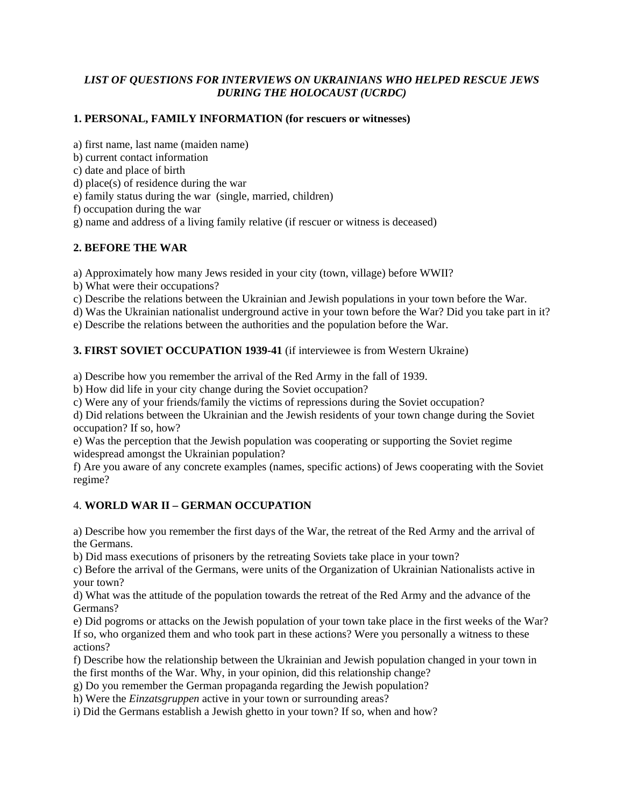## *LIST OF QUESTIONS FOR INTERVIEWS ON UKRAINIANS WHO HELPED RESCUE JEWS DURING THE HOLOCAUST (UCRDC)*

## **1. PERSONAL, FAMILY INFORMATION (for rescuers or witnesses)**

a) first name, last name (maiden name)

b) current contact information

c) date and place of birth

d) place(s) of residence during the war

e) family status during the war (single, married, children)

f) occupation during the war

g) name and address of a living family relative (if rescuer or witness is deceased)

#### **2. BEFORE THE WAR**

a) Approximately how many Jews resided in your city (town, village) before WWII?

b) What were their occupations?

c) Describe the relations between the Ukrainian and Jewish populations in your town before the War.

d) Was the Ukrainian nationalist underground active in your town before the War? Did you take part in it?

e) Describe the relations between the authorities and the population before the War.

#### **3. FIRST SOVIET OCCUPATION 1939-41** (if interviewee is from Western Ukraine)

a) Describe how you remember the arrival of the Red Army in the fall of 1939.

b) How did life in your city change during the Soviet occupation?

c) Were any of your friends/family the victims of repressions during the Soviet occupation?

d) Did relations between the Ukrainian and the Jewish residents of your town change during the Soviet occupation? If so, how?

e) Was the perception that the Jewish population was cooperating or supporting the Soviet regime widespread amongst the Ukrainian population?

f) Are you aware of any concrete examples (names, specific actions) of Jews cooperating with the Soviet regime?

## 4. **WORLD WAR II – GERMAN OCCUPATION**

a) Describe how you remember the first days of the War, the retreat of the Red Army and the arrival of the Germans.

b) Did mass executions of prisoners by the retreating Soviets take place in your town?

c) Before the arrival of the Germans, were units of the Organization of Ukrainian Nationalists active in your town?

d) What was the attitude of the population towards the retreat of the Red Army and the advance of the Germans?

e) Did pogroms or attacks on the Jewish population of your town take place in the first weeks of the War? If so, who organized them and who took part in these actions? Were you personally a witness to these actions?

f) Describe how the relationship between the Ukrainian and Jewish population changed in your town in the first months of the War. Why, in your opinion, did this relationship change?

g) Do you remember the German propaganda regarding the Jewish population?

h) Were the *Einzatsgruppen* active in your town or surrounding areas?

i) Did the Germans establish a Jewish ghetto in your town? If so, when and how?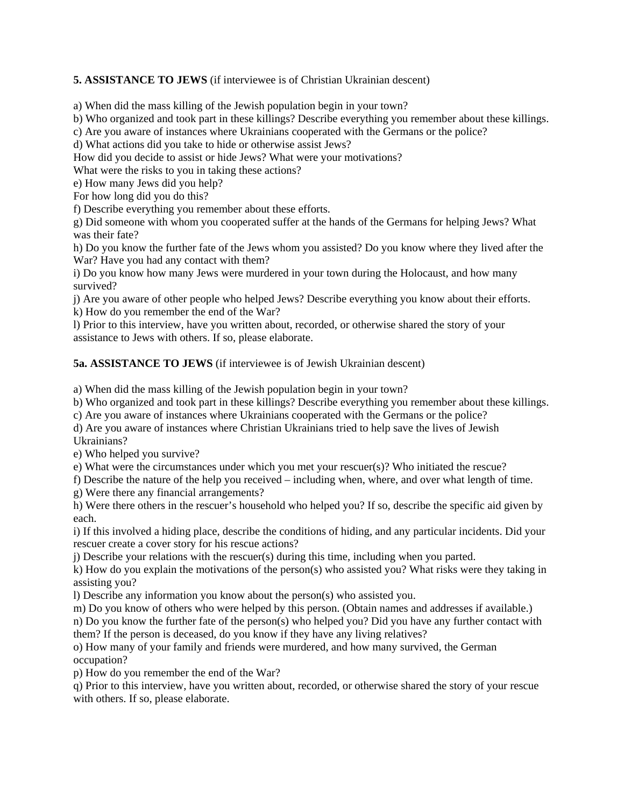**5. ASSISTANCE TO JEWS** (if interviewee is of Christian Ukrainian descent)

a) When did the mass killing of the Jewish population begin in your town?

b) Who organized and took part in these killings? Describe everything you remember about these killings.

c) Are you aware of instances where Ukrainians cooperated with the Germans or the police?

d) What actions did you take to hide or otherwise assist Jews?

How did you decide to assist or hide Jews? What were your motivations?

What were the risks to you in taking these actions?

e) How many Jews did you help?

For how long did you do this?

f) Describe everything you remember about these efforts.

g) Did someone with whom you cooperated suffer at the hands of the Germans for helping Jews? What was their fate?

h) Do you know the further fate of the Jews whom you assisted? Do you know where they lived after the War? Have you had any contact with them?

i) Do you know how many Jews were murdered in your town during the Holocaust, and how many survived?

j) Are you aware of other people who helped Jews? Describe everything you know about their efforts. k) How do you remember the end of the War?

l) Prior to this interview, have you written about, recorded, or otherwise shared the story of your assistance to Jews with others. If so, please elaborate.

**5a. ASSISTANCE TO JEWS** (if interviewee is of Jewish Ukrainian descent)

a) When did the mass killing of the Jewish population begin in your town?

b) Who organized and took part in these killings? Describe everything you remember about these killings.

c) Are you aware of instances where Ukrainians cooperated with the Germans or the police?

d) Are you aware of instances where Christian Ukrainians tried to help save the lives of Jewish Ukrainians?

e) Who helped you survive?

e) What were the circumstances under which you met your rescuer(s)? Who initiated the rescue?

f) Describe the nature of the help you received – including when, where, and over what length of time.

g) Were there any financial arrangements?

h) Were there others in the rescuer's household who helped you? If so, describe the specific aid given by each.

i) If this involved a hiding place, describe the conditions of hiding, and any particular incidents. Did your rescuer create a cover story for his rescue actions?

j) Describe your relations with the rescuer(s) during this time, including when you parted.

k) How do you explain the motivations of the person(s) who assisted you? What risks were they taking in assisting you?

l) Describe any information you know about the person(s) who assisted you.

m) Do you know of others who were helped by this person. (Obtain names and addresses if available.)

n) Do you know the further fate of the person(s) who helped you? Did you have any further contact with them? If the person is deceased, do you know if they have any living relatives?

o) How many of your family and friends were murdered, and how many survived, the German occupation?

p) How do you remember the end of the War?

q) Prior to this interview, have you written about, recorded, or otherwise shared the story of your rescue with others. If so, please elaborate.